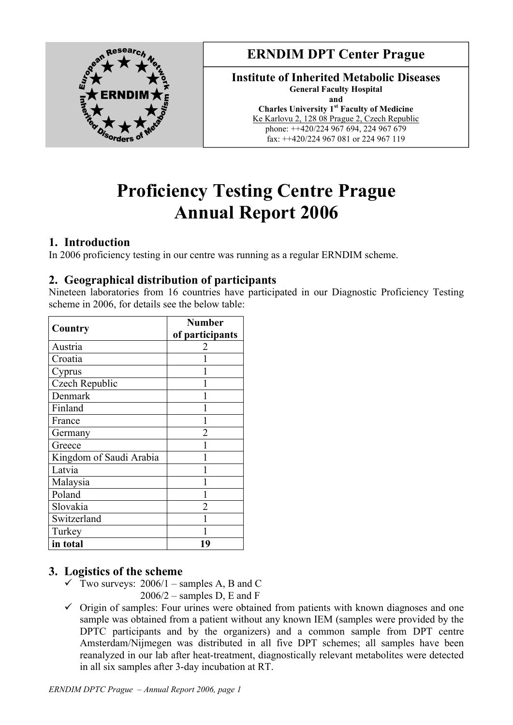

**ERNDIM DPT Center Prague**

**Institute of Inherited Metabolic Diseases General Faculty Hospital and Charles University 1st Faculty of Medicine** Ke Karlovu 2, 128 08 Prague 2, Czech Republic phone: ++420/224 967 694, 224 967 679 fax: ++420/224 967 081 or 224 967 119

# **Proficiency Testing Centre Prague Annual Report 2006**

# **1. Introduction**

In 2006 proficiency testing in our centre was running as a regular ERNDIM scheme.

# **2. Geographical distribution of participants**

Nineteen laboratories from 16 countries have participated in our Diagnostic Proficiency Testing scheme in 2006, for details see the below table:

|                         | <b>Number</b>   |  |  |  |
|-------------------------|-----------------|--|--|--|
| Country                 | of participants |  |  |  |
| Austria                 |                 |  |  |  |
| Croatia                 |                 |  |  |  |
| Cyprus                  |                 |  |  |  |
| Czech Republic          |                 |  |  |  |
| Denmark                 |                 |  |  |  |
| Finland                 |                 |  |  |  |
| France                  |                 |  |  |  |
| Germany                 | 2               |  |  |  |
| Greece                  |                 |  |  |  |
| Kingdom of Saudi Arabia |                 |  |  |  |
| Latvia                  |                 |  |  |  |
| Malaysia                |                 |  |  |  |
| Poland                  |                 |  |  |  |
| Slovakia                |                 |  |  |  |
| Switzerland             |                 |  |  |  |
| Turkey                  |                 |  |  |  |
| in total                |                 |  |  |  |

# **3. Logistics of the scheme**

- $\checkmark$  Two surveys: 2006/1 samples A, B and C  $2006/2$  – samples D, E and F
- $\checkmark$  Origin of samples: Four urines were obtained from patients with known diagnoses and one sample was obtained from a patient without any known IEM (samples were provided by the DPTC participants and by the organizers) and a common sample from DPT centre Amsterdam/Nijmegen was distributed in all five DPT schemes; all samples have been reanalyzed in our lab after heat-treatment, diagnostically relevant metabolites were detected in all six samples after 3-day incubation at RT.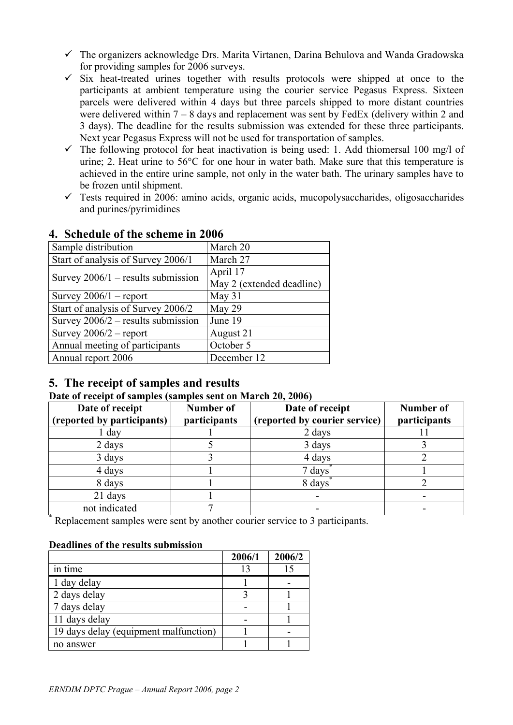- $\checkmark$  The organizers acknowledge Drs. Marita Virtanen, Darina Behulova and Wanda Gradowska for providing samples for 2006 surveys.
- $\checkmark$  Six heat-treated urines together with results protocols were shipped at once to the participants at ambient temperature using the courier service Pegasus Express. Sixteen parcels were delivered within 4 days but three parcels shipped to more distant countries were delivered within  $7 - 8$  days and replacement was sent by FedEx (delivery within 2 and 3 days). The deadline for the results submission was extended for these three participants. Next year Pegasus Express will not be used for transportation of samples.
- $\checkmark$  The following protocol for heat inactivation is being used: 1. Add thiomersal 100 mg/l of urine; 2. Heat urine to 56°C for one hour in water bath. Make sure that this temperature is achieved in the entire urine sample, not only in the water bath. The urinary samples have to be frozen until shipment.
- $\checkmark$  Tests required in 2006: amino acids, organic acids, mucopolysaccharides, oligosaccharides and purines/pyrimidines

| Sample distribution                  | March 20                  |
|--------------------------------------|---------------------------|
| Start of analysis of Survey 2006/1   | March 27                  |
|                                      | April 17                  |
| Survey $2006/1$ – results submission | May 2 (extended deadline) |
| Survey $2006/1$ – report             | May 31                    |
| Start of analysis of Survey 2006/2   | May 29                    |
| Survey $2006/2$ – results submission | June 19                   |
| Survey $2006/2$ – report             | August 21                 |
| Annual meeting of participants       | October 5                 |
| Annual report 2006                   | December 12               |
|                                      |                           |

# **4. Schedule of the scheme in 2006**

## **5. The receipt of samples and results**

#### **Date of receipt of samples (samples sent on March 20, 2006)**

| Date of receipt<br>(reported by participants) | <b>Number of</b><br>participants | Date of receipt<br>(reported by courier service) | Number of<br>participants |
|-----------------------------------------------|----------------------------------|--------------------------------------------------|---------------------------|
| 1 day                                         |                                  | 2 days                                           |                           |
| 2 days                                        |                                  | 3 days                                           |                           |
| 3 days                                        |                                  | 4 days                                           |                           |
| 4 days                                        |                                  | 7 days                                           |                           |
| 8 days                                        |                                  | 8 days                                           |                           |
| 21 days                                       |                                  |                                                  |                           |
| not indicated                                 |                                  |                                                  |                           |

\* Replacement samples were sent by another courier service to 3 participants.

#### **Deadlines of the results submission**

|                                       | 2006/1 | 2006/2 |
|---------------------------------------|--------|--------|
| in time                               | 13     |        |
| 1 day delay                           |        |        |
| 2 days delay                          |        |        |
| 7 days delay                          |        |        |
| 11 days delay                         |        |        |
| 19 days delay (equipment malfunction) |        |        |
| no answer                             |        |        |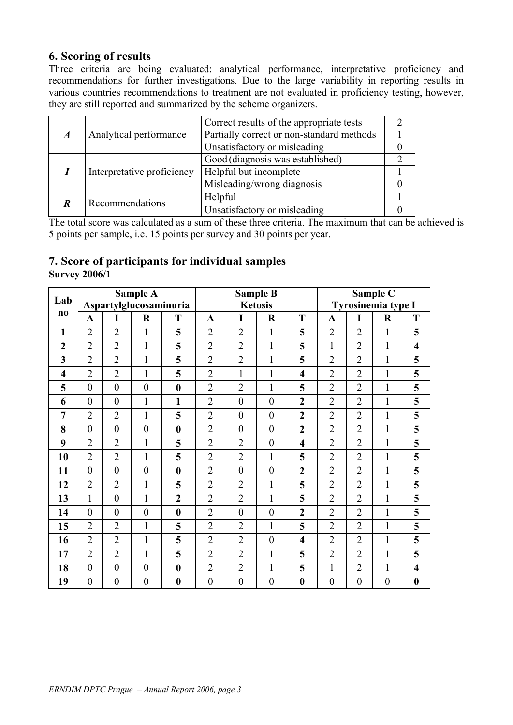# **6. Scoring of results**

Three criteria are being evaluated: analytical performance, interpretative proficiency and recommendations for further investigations. Due to the large variability in reporting results in various countries recommendations to treatment are not evaluated in proficiency testing, however, they are still reported and summarized by the scheme organizers.

|               |                            | Correct results of the appropriate tests  |  |
|---------------|----------------------------|-------------------------------------------|--|
| $\mathcal{A}$ | Analytical performance     | Partially correct or non-standard methods |  |
|               |                            | Unsatisfactory or misleading              |  |
|               | Interpretative proficiency | Good (diagnosis was established)          |  |
|               |                            | Helpful but incomplete                    |  |
|               |                            | Misleading/wrong diagnosis                |  |
|               | Recommendations            | Helpful                                   |  |
|               |                            | Unsatisfactory or misleading              |  |

The total score was calculated as a sum of these three criteria. The maximum that can be achieved is 5 points per sample, i.e. 15 points per survey and 30 points per year.

#### **7. Score of participants for individual samples Survey 2006/1**

| Lab                     | Sample A               |                  |                  |                  | <b>Sample B</b>  |                  |                  |                         |                  | Sample C         |                  |                         |
|-------------------------|------------------------|------------------|------------------|------------------|------------------|------------------|------------------|-------------------------|------------------|------------------|------------------|-------------------------|
|                         | Aspartylglucosaminuria |                  |                  | <b>Ketosis</b>   |                  |                  |                  | Tyrosinemia type I      |                  |                  |                  |                         |
| n <sub>0</sub>          | $\mathbf A$            | I                | $\bf R$          | T                | $\mathbf A$      | I                | $\bf R$          | T                       | A                | Ī                | $\mathbf R$      | T                       |
| 1                       | $\overline{2}$         | $\overline{2}$   | 1                | 5                | $\overline{2}$   | $\overline{2}$   | $\mathbf{1}$     | 5                       | $\overline{2}$   | $\overline{2}$   | 1                | 5                       |
| $\overline{2}$          | $\overline{2}$         | $\overline{2}$   | 1                | 5                | $\overline{2}$   | $\overline{2}$   | $\mathbf{1}$     | 5                       | 1                | $\overline{2}$   | 1                | $\overline{\mathbf{4}}$ |
| 3                       | $\overline{2}$         | $\overline{2}$   | $\mathbf{1}$     | 5                | $\overline{2}$   | $\overline{2}$   | $\mathbf{1}$     | 5                       | $\overline{2}$   | $\overline{2}$   | 1                | 5                       |
| $\overline{\mathbf{4}}$ | $\overline{2}$         | $\overline{2}$   | 1                | 5                | $\overline{2}$   | $\mathbf{1}$     | $\mathbf{1}$     | $\overline{\mathbf{4}}$ | $\overline{2}$   | $\overline{2}$   | 1                | 5                       |
| 5                       | $\overline{0}$         | $\overline{0}$   | $\overline{0}$   | $\boldsymbol{0}$ | $\overline{2}$   | $\overline{2}$   | 1                | 5                       | $\overline{2}$   | $\overline{2}$   | 1                | 5                       |
| 6                       | $\overline{0}$         | $\boldsymbol{0}$ | 1                | 1                | $\overline{2}$   | $\overline{0}$   | $\boldsymbol{0}$ | $\overline{2}$          | $\overline{2}$   | $\overline{2}$   | 1                | 5                       |
| $\overline{7}$          | $\overline{2}$         | $\overline{2}$   | $\mathbf{1}$     | 5                | $\overline{2}$   | $\overline{0}$   | $\overline{0}$   | $\overline{2}$          | $\overline{2}$   | $\overline{2}$   | 1                | 5                       |
| 8                       | $\boldsymbol{0}$       | $\overline{0}$   | $\boldsymbol{0}$ | $\bf{0}$         | $\overline{2}$   | $\boldsymbol{0}$ | $\boldsymbol{0}$ | $\boldsymbol{2}$        | $\overline{2}$   | $\overline{2}$   | 1                | 5                       |
| 9                       | $\overline{2}$         | $\overline{2}$   | 1                | 5                | $\overline{2}$   | $\overline{2}$   | $\overline{0}$   | $\overline{\mathbf{4}}$ | $\overline{2}$   | $\overline{2}$   | 1                | 5                       |
| 10                      | $\overline{2}$         | $\overline{2}$   | $\mathbf{1}$     | 5                | $\overline{2}$   | $\overline{2}$   | $\mathbf{1}$     | 5                       | $\overline{2}$   | $\overline{2}$   | 1                | 5                       |
| 11                      | $\boldsymbol{0}$       | $\boldsymbol{0}$ | $\boldsymbol{0}$ | $\boldsymbol{0}$ | $\overline{2}$   | $\boldsymbol{0}$ | $\boldsymbol{0}$ | $\boldsymbol{2}$        | $\overline{2}$   | $\overline{2}$   | 1                | 5                       |
| 12                      | $\overline{2}$         | $\overline{2}$   | 1                | 5                | $\overline{2}$   | $\overline{2}$   | $\mathbf{1}$     | 5                       | $\overline{2}$   | $\overline{2}$   | 1                | 5                       |
| 13                      | $\mathbf{1}$           | $\overline{0}$   | $\mathbf{1}$     | $\overline{2}$   | $\overline{2}$   | $\overline{2}$   | $\mathbf{1}$     | 5                       | $\overline{2}$   | $\overline{2}$   | 1                | 5                       |
| 14                      | $\boldsymbol{0}$       | $\overline{0}$   | $\boldsymbol{0}$ | $\bf{0}$         | $\overline{2}$   | $\boldsymbol{0}$ | $\boldsymbol{0}$ | $\overline{2}$          | $\overline{2}$   | $\overline{2}$   | 1                | 5                       |
| 15                      | $\overline{2}$         | $\overline{2}$   | 1                | 5                | $\overline{2}$   | $\overline{2}$   | $\mathbf{1}$     | 5                       | $\overline{2}$   | $\overline{2}$   | 1                | 5                       |
| 16                      | $\overline{2}$         | $\overline{2}$   | 1                | 5                | $\overline{2}$   | $\overline{2}$   | $\overline{0}$   | $\overline{\mathbf{4}}$ | $\overline{2}$   | $\overline{2}$   | 1                | 5                       |
| 17                      | $\overline{2}$         | $\overline{2}$   | 1                | 5                | $\overline{2}$   | $\overline{2}$   | $\mathbf{1}$     | 5                       | $\overline{2}$   | $\overline{2}$   | 1                | 5                       |
| 18                      | $\overline{0}$         | $\overline{0}$   | $\overline{0}$   | $\boldsymbol{0}$ | $\overline{2}$   | $\overline{2}$   | $\mathbf{1}$     | 5                       | 1                | $\overline{2}$   | 1                | $\overline{\mathbf{4}}$ |
| 19                      | $\boldsymbol{0}$       | $\boldsymbol{0}$ | $\boldsymbol{0}$ | $\bf{0}$         | $\boldsymbol{0}$ | $\boldsymbol{0}$ | $\boldsymbol{0}$ | $\boldsymbol{0}$        | $\boldsymbol{0}$ | $\boldsymbol{0}$ | $\boldsymbol{0}$ | $\boldsymbol{0}$        |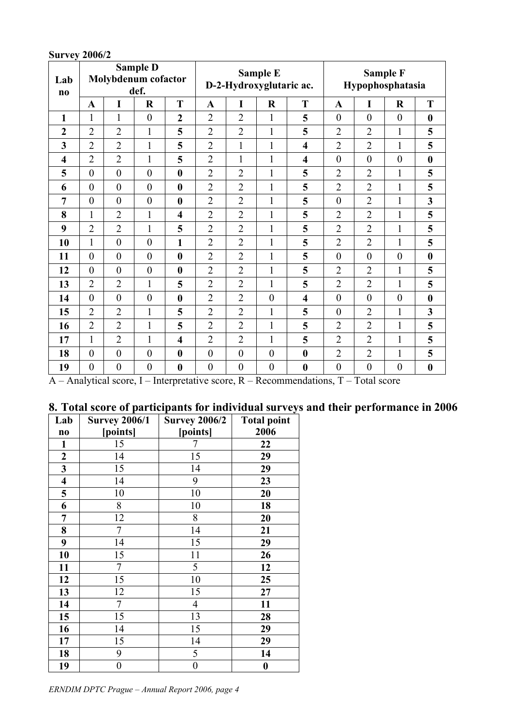| Lab<br>$\bf{n}$         |                  |                  | <b>Sample D</b><br>Molybdenum cofactor<br>def. |                         |                  |                  | <b>Sample E</b><br>D-2-Hydroxyglutaric ac. |                         |                  | Hypophosphatasia | <b>Sample F</b>  |                         |
|-------------------------|------------------|------------------|------------------------------------------------|-------------------------|------------------|------------------|--------------------------------------------|-------------------------|------------------|------------------|------------------|-------------------------|
|                         | $\mathbf{A}$     | I                | $\bf R$                                        | T                       | $\mathbf{A}$     | I                | $\mathbf R$                                | T                       | $\mathbf{A}$     | I                | $\mathbf R$      | T                       |
| 1                       | $\mathbf{1}$     | $\mathbf{1}$     | $\boldsymbol{0}$                               | $\overline{2}$          | $\overline{2}$   | $\overline{2}$   | $\mathbf{1}$                               | 5                       | $\boldsymbol{0}$ | $\boldsymbol{0}$ | $\boldsymbol{0}$ | $\boldsymbol{0}$        |
| $\overline{2}$          | $\overline{2}$   | $\overline{2}$   | 1                                              | 5                       | $\overline{2}$   | $\overline{2}$   | $\mathbf{1}$                               | 5                       | $\overline{2}$   | $\overline{2}$   | $\mathbf{1}$     | 5                       |
| 3                       | $\overline{2}$   | $\overline{2}$   | $\mathbf{1}$                                   | 5                       | $\overline{2}$   | $\mathbf{1}$     | $\mathbf{1}$                               | $\overline{\mathbf{4}}$ | $\overline{2}$   | $\overline{2}$   | $\mathbf{1}$     | 5                       |
| $\overline{\mathbf{4}}$ | $\overline{2}$   | $\overline{2}$   | 1                                              | 5                       | $\overline{2}$   | $\mathbf{1}$     | $\mathbf{1}$                               | $\overline{\mathbf{4}}$ | $\boldsymbol{0}$ | $\boldsymbol{0}$ | $\boldsymbol{0}$ | $\boldsymbol{0}$        |
| 5                       | $\overline{0}$   | $\overline{0}$   | $\overline{0}$                                 | $\boldsymbol{0}$        | $\overline{2}$   | $\overline{2}$   | $\mathbf{1}$                               | 5                       | $\overline{2}$   | $\overline{2}$   | $\mathbf{1}$     | 5                       |
| 6                       | $\boldsymbol{0}$ | $\overline{0}$   | $\overline{0}$                                 | $\boldsymbol{0}$        | $\overline{2}$   | $\overline{2}$   | $\mathbf{1}$                               | 5                       | $\overline{2}$   | $\overline{2}$   | $\mathbf{1}$     | 5                       |
| 7                       | $\boldsymbol{0}$ | $\boldsymbol{0}$ | $\boldsymbol{0}$                               | $\boldsymbol{0}$        | $\overline{2}$   | $\overline{2}$   | 1                                          | 5                       | $\boldsymbol{0}$ | $\overline{2}$   | 1                | $\overline{\mathbf{3}}$ |
| 8                       | $\mathbf{1}$     | $\overline{2}$   | 1                                              | $\overline{\mathbf{4}}$ | $\overline{2}$   | $\overline{2}$   | $\mathbf{1}$                               | 5                       | $\overline{2}$   | $\overline{2}$   | 1                | 5                       |
| 9                       | $\overline{2}$   | $\overline{2}$   | 1                                              | 5                       | $\overline{2}$   | $\overline{2}$   | $\mathbf{1}$                               | 5                       | $\overline{2}$   | $\overline{2}$   | 1                | 5                       |
| 10                      | $\mathbf{1}$     | $\boldsymbol{0}$ | $\overline{0}$                                 | $\mathbf{1}$            | $\overline{2}$   | $\overline{2}$   | $\mathbf{1}$                               | 5                       | $\overline{2}$   | $\overline{2}$   | 1                | 5                       |
| 11                      | $\overline{0}$   | $\overline{0}$   | $\overline{0}$                                 | $\bf{0}$                | $\overline{2}$   | $\overline{2}$   | 1                                          | 5                       | $\overline{0}$   | $\mathbf{0}$     | $\overline{0}$   | $\boldsymbol{0}$        |
| 12                      | $\boldsymbol{0}$ | $\overline{0}$   | $\overline{0}$                                 | $\boldsymbol{0}$        | $\overline{2}$   | $\overline{2}$   | $\mathbf{1}$                               | 5                       | $\overline{2}$   | $\overline{2}$   | 1                | 5                       |
| 13                      | $\overline{2}$   | $\overline{2}$   | 1                                              | 5                       | $\overline{2}$   | $\overline{2}$   | $\mathbf{1}$                               | 5                       | $\overline{2}$   | $\overline{2}$   | 1                | 5                       |
| 14                      | $\overline{0}$   | $\overline{0}$   | $\overline{0}$                                 | $\boldsymbol{0}$        | $\overline{2}$   | $\overline{2}$   | $\boldsymbol{0}$                           | $\overline{\mathbf{4}}$ | $\overline{0}$   | $\boldsymbol{0}$ | $\boldsymbol{0}$ | $\boldsymbol{0}$        |
| 15                      | $\overline{2}$   | $\overline{2}$   | 1                                              | 5                       | $\overline{2}$   | $\overline{2}$   | $\mathbf{1}$                               | 5                       | $\boldsymbol{0}$ | $\overline{2}$   | 1                | $\overline{\mathbf{3}}$ |
| 16                      | $\overline{2}$   | $\overline{2}$   | 1                                              | 5                       | $\overline{2}$   | $\overline{2}$   | $\mathbf{1}$                               | 5                       | $\overline{2}$   | $\overline{2}$   | 1                | 5                       |
| 17                      | $\mathbf{1}$     | $\overline{2}$   | $\mathbf{1}$                                   | $\overline{\mathbf{4}}$ | $\overline{2}$   | $\overline{2}$   | $\mathbf{1}$                               | 5                       | $\overline{2}$   | $\overline{2}$   | $\mathbf{1}$     | 5                       |
| 18                      | $\boldsymbol{0}$ | $\overline{0}$   | $\overline{0}$                                 | $\boldsymbol{0}$        | $\boldsymbol{0}$ | $\boldsymbol{0}$ | $\boldsymbol{0}$                           | $\boldsymbol{0}$        | $\overline{2}$   | $\overline{2}$   | 1                | 5                       |
| 19                      | $\overline{0}$   | $\overline{0}$   | $\overline{0}$                                 | $\boldsymbol{0}$        | $\boldsymbol{0}$ | $\overline{0}$   | $\boldsymbol{0}$                           | $\boldsymbol{0}$        | $\boldsymbol{0}$ | $\overline{0}$   | $\overline{0}$   | $\boldsymbol{0}$        |

#### **Survey 2006/2**

A – Analytical score, I – Interpretative score, R – Recommendations, T – Total score

# **8. Total score of participants for individual surveys and their performance in 2006**

| Lab                     | <b>Survey 2006/1</b> | <b>Survey 2006/2</b> | <b>Total point</b> |
|-------------------------|----------------------|----------------------|--------------------|
| $\bf{no}$               | [points]             | [points]             | 2006               |
| $\mathbf{1}$            | 15                   | 7                    | 22                 |
| $\boldsymbol{2}$        | 14                   | 15                   | 29                 |
| $\overline{\mathbf{3}}$ | 15                   | 14                   | 29                 |
| $\overline{\mathbf{4}}$ | 14                   | 9                    | 23                 |
| 5                       | 10                   | 10                   | 20                 |
| 6                       | 8                    | 10                   | 18                 |
| 7                       | 12                   | 8                    | 20                 |
| 8                       | 7                    | 14                   | 21                 |
| 9                       | 14                   | 15                   | 29                 |
| 10                      | 15                   | 11                   | 26                 |
| 11                      | 7                    | 5                    | 12                 |
| 12                      | 15                   | 10                   | 25                 |
| 13                      | 12                   | 15                   | 27                 |
| 14                      | $\overline{7}$       | 4                    | 11                 |
| 15                      | 15                   | 13                   | 28                 |
| 16                      | 14                   | 15                   | 29                 |
| 17                      | 15                   | 14                   | 29                 |
| 18                      | 9                    | 5                    | 14                 |
| 19                      | $\boldsymbol{0}$     | $\boldsymbol{0}$     | $\boldsymbol{0}$   |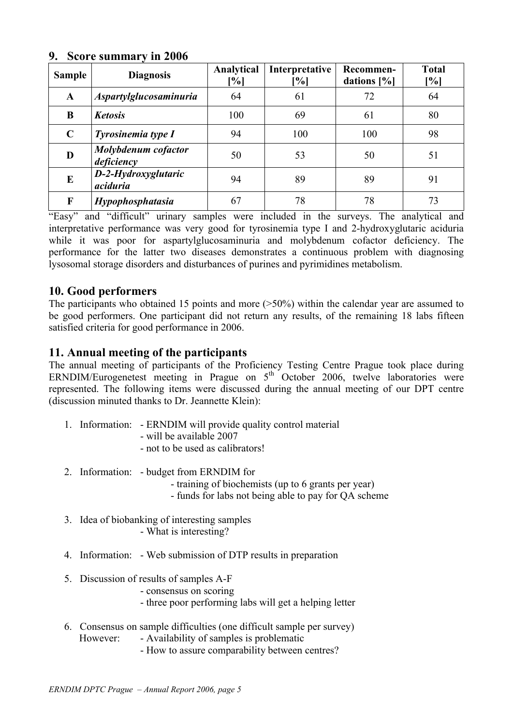| <b>Sample</b> | <b>Diagnosis</b>                  | Analytical<br>[%] | Interpretative<br>$\lceil \% \rceil$ | Recommen-<br>dations $[\%]$ | <b>Total</b><br>[%] |
|---------------|-----------------------------------|-------------------|--------------------------------------|-----------------------------|---------------------|
| A             | <b>Aspartylglucosaminuria</b>     | 64                | 61                                   | 72                          | 64                  |
| B             | <b>Ketosis</b>                    | 100               | 69                                   | 61                          | 80                  |
| $\mathbf C$   | Tyrosinemia type I                | 94                | 100                                  | 100                         | 98                  |
| D             | Molybdenum cofactor<br>deficiency | 50                | 53                                   | 50                          | 51                  |
| E             | D-2-Hydroxyglutaric<br>aciduria   | 94                | 89                                   | 89                          | 91                  |
| F             | Hypophosphatasia                  | 67                | 78                                   | 78                          | 73                  |

## **9. Score summary in 2006**

"Easy" and "difficult" urinary samples were included in the surveys. The analytical and interpretative performance was very good for tyrosinemia type I and 2-hydroxyglutaric aciduria while it was poor for aspartylglucosaminuria and molybdenum cofactor deficiency. The performance for the latter two diseases demonstrates a continuous problem with diagnosing lysosomal storage disorders and disturbances of purines and pyrimidines metabolism.

# **10. Good performers**

The participants who obtained 15 points and more (>50%) within the calendar year are assumed to be good performers. One participant did not return any results, of the remaining 18 labs fifteen satisfied criteria for good performance in 2006.

# **11. Annual meeting of the participants**

The annual meeting of participants of the Proficiency Testing Centre Prague took place during ERNDIM/Eurogenetest meeting in Prague on  $5<sup>th</sup>$  October 2006, twelve laboratories were represented. The following items were discussed during the annual meeting of our DPT centre (discussion minuted thanks to Dr. Jeannette Klein):

- 1. Information: ERNDIM will provide quality control material
	- will be available 2007
	- not to be used as calibrators!
- 2. Information: budget from ERNDIM for
	- training of biochemists (up to 6 grants per year)
	- funds for labs not being able to pay for QA scheme
- 3. Idea of biobanking of interesting samples
	- What is interesting?
- 4. Information: Web submission of DTP results in preparation
- 5. Discussion of results of samples A-F
	- consensus on scoring
	- three poor performing labs will get a helping letter
- 6. Consensus on sample difficulties (one difficult sample per survey) However: - Availability of samples is problematic
	- How to assure comparability between centres?